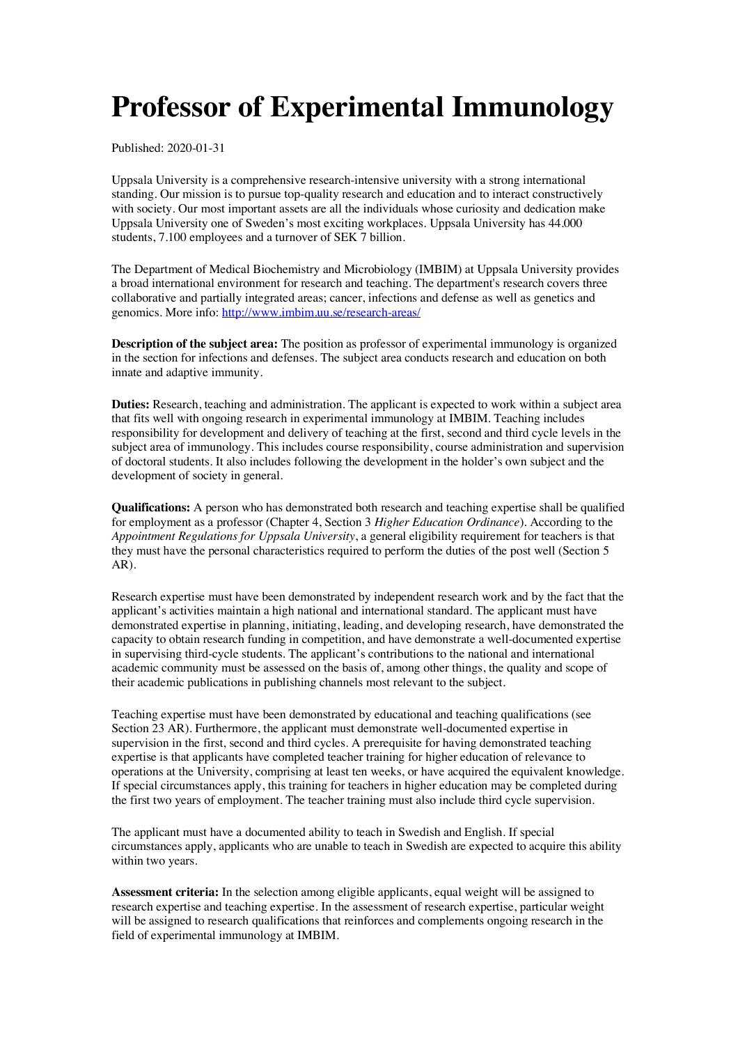## **Professor of Experimental Immunology**

Published: 2020-01-31

Uppsala University is a comprehensive research-intensive university with a strong international standing. Our mission is to pursue top-quality research and education and to interact constructively with society. Our most important assets are all the individuals whose curiosity and dedication make Uppsala University one of Sweden's most exciting workplaces. Uppsala University has 44.000 students, 7.100 employees and a turnover of SEK 7 billion.

The Department of Medical Biochemistry and Microbiology (IMBIM) at Uppsala University provides a broad international environment for research and teaching. The department's research covers three collaborative and partially integrated areas; cancer, infections and defense as well as genetics and genomics. More info: http://www.imbim.uu.se/research-areas/

**Description of the subject area:** The position as professor of experimental immunology is organized in the section for infections and defenses. The subject area conducts research and education on both innate and adaptive immunity.

**Duties:** Research, teaching and administration. The applicant is expected to work within a subject area that fits well with ongoing research in experimental immunology at IMBIM. Teaching includes responsibility for development and delivery of teaching at the first, second and third cycle levels in the subject area of immunology. This includes course responsibility, course administration and supervision of doctoral students. It also includes following the development in the holder's own subject and the development of society in general.

**Qualifications:** A person who has demonstrated both research and teaching expertise shall be qualified for employment as a professor (Chapter 4, Section 3 *Higher Education Ordinance*). According to the *Appointment Regulations for Uppsala University*, a general eligibility requirement for teachers is that they must have the personal characteristics required to perform the duties of the post well (Section 5 AR).

Research expertise must have been demonstrated by independent research work and by the fact that the applicant's activities maintain a high national and international standard. The applicant must have demonstrated expertise in planning, initiating, leading, and developing research, have demonstrated the capacity to obtain research funding in competition, and have demonstrate a well-documented expertise in supervising third-cycle students. The applicant's contributions to the national and international academic community must be assessed on the basis of, among other things, the quality and scope of their academic publications in publishing channels most relevant to the subject.

Teaching expertise must have been demonstrated by educational and teaching qualifications (see Section 23 AR). Furthermore, the applicant must demonstrate well-documented expertise in supervision in the first, second and third cycles. A prerequisite for having demonstrated teaching expertise is that applicants have completed teacher training for higher education of relevance to operations at the University, comprising at least ten weeks, or have acquired the equivalent knowledge. If special circumstances apply, this training for teachers in higher education may be completed during the first two years of employment. The teacher training must also include third cycle supervision.

The applicant must have a documented ability to teach in Swedish and English. If special circumstances apply, applicants who are unable to teach in Swedish are expected to acquire this ability within two years.

**Assessment criteria:** In the selection among eligible applicants, equal weight will be assigned to research expertise and teaching expertise. In the assessment of research expertise, particular weight will be assigned to research qualifications that reinforces and complements ongoing research in the field of experimental immunology at IMBIM.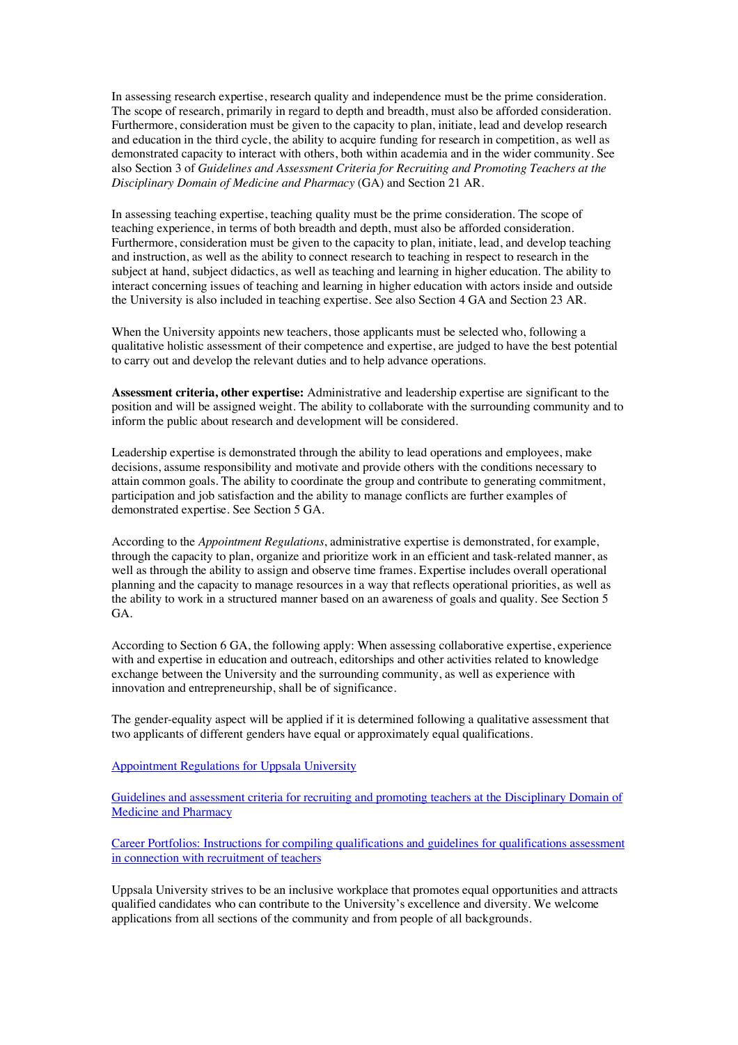In assessing research expertise, research quality and independence must be the prime consideration. The scope of research, primarily in regard to depth and breadth, must also be afforded consideration. Furthermore, consideration must be given to the capacity to plan, initiate, lead and develop research and education in the third cycle, the ability to acquire funding for research in competition, as well as demonstrated capacity to interact with others, both within academia and in the wider community. See also Section 3 of *Guidelines and Assessment Criteria for Recruiting and Promoting Teachers at the Disciplinary Domain of Medicine and Pharmacy* (GA) and Section 21 AR.

In assessing teaching expertise, teaching quality must be the prime consideration. The scope of teaching experience, in terms of both breadth and depth, must also be afforded consideration. Furthermore, consideration must be given to the capacity to plan, initiate, lead, and develop teaching and instruction, as well as the ability to connect research to teaching in respect to research in the subject at hand, subject didactics, as well as teaching and learning in higher education. The ability to interact concerning issues of teaching and learning in higher education with actors inside and outside the University is also included in teaching expertise. See also Section 4 GA and Section 23 AR.

When the University appoints new teachers, those applicants must be selected who, following a qualitative holistic assessment of their competence and expertise, are judged to have the best potential to carry out and develop the relevant duties and to help advance operations.

**Assessment criteria, other expertise:** Administrative and leadership expertise are significant to the position and will be assigned weight. The ability to collaborate with the surrounding community and to inform the public about research and development will be considered.

Leadership expertise is demonstrated through the ability to lead operations and employees, make decisions, assume responsibility and motivate and provide others with the conditions necessary to attain common goals. The ability to coordinate the group and contribute to generating commitment, participation and job satisfaction and the ability to manage conflicts are further examples of demonstrated expertise. See Section 5 GA.

According to the *Appointment Regulations*, administrative expertise is demonstrated, for example, through the capacity to plan, organize and prioritize work in an efficient and task-related manner, as well as through the ability to assign and observe time frames. Expertise includes overall operational planning and the capacity to manage resources in a way that reflects operational priorities, as well as the ability to work in a structured manner based on an awareness of goals and quality. See Section 5 GA.

According to Section 6 GA, the following apply: When assessing collaborative expertise, experience with and expertise in education and outreach, editorships and other activities related to knowledge exchange between the University and the surrounding community, as well as experience with innovation and entrepreneurship, shall be of significance.

The gender-equality aspect will be applied if it is determined following a qualitative assessment that two applicants of different genders have equal or approximately equal qualifications.

Appointment Regulations for Uppsala University

Guidelines and assessment criteria for recruiting and promoting teachers at the Disciplinary Domain of Medicine and Pharmacy

Career Portfolios: Instructions for compiling qualifications and guidelines for qualifications assessment in connection with recruitment of teachers

Uppsala University strives to be an inclusive workplace that promotes equal opportunities and attracts qualified candidates who can contribute to the University's excellence and diversity. We welcome applications from all sections of the community and from people of all backgrounds.